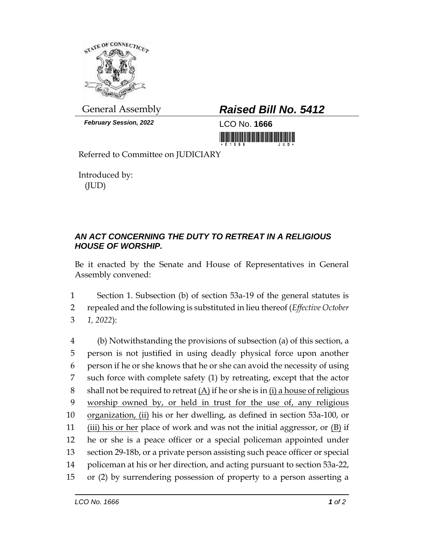

*February Session, 2022* LCO No. **1666**

## General Assembly *Raised Bill No. 5412*

<u> III di kacamatan ing Kabupatèn III di Kabupatèn III di Kabupatèn III di Kabupatèn III di Kabupatèn III di Ka</u>

Referred to Committee on JUDICIARY

Introduced by: (JUD)

## *AN ACT CONCERNING THE DUTY TO RETREAT IN A RELIGIOUS HOUSE OF WORSHIP.*

Be it enacted by the Senate and House of Representatives in General Assembly convened:

1 Section 1. Subsection (b) of section 53a-19 of the general statutes is 2 repealed and the following is substituted in lieu thereof (*Effective October*  3 *1, 2022*):

 (b) Notwithstanding the provisions of subsection (a) of this section, a person is not justified in using deadly physical force upon another person if he or she knows that he or she can avoid the necessity of using such force with complete safety (1) by retreating, except that the actor 8 shall not be required to retreat  $(A)$  if he or she is in (i) a house of religious worship owned by, or held in trust for the use of, any religious organization, (ii) his or her dwelling, as defined in section 53a-100, or (iii) his or her place of work and was not the initial aggressor, or (B) if he or she is a peace officer or a special policeman appointed under section 29-18b, or a private person assisting such peace officer or special policeman at his or her direction, and acting pursuant to section 53a-22, or (2) by surrendering possession of property to a person asserting a